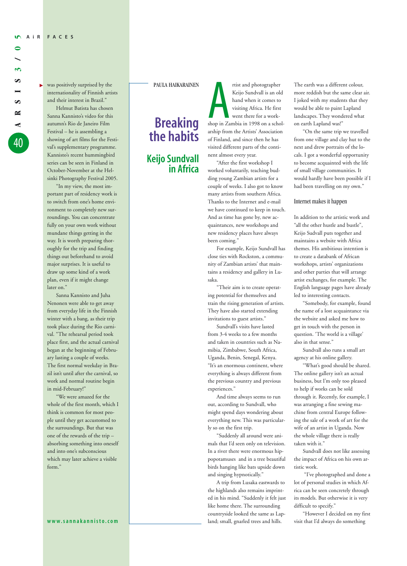▼

S **ARSIS CA**  $\approx$ 40

**3**

was positively surprised by the internationality of Finnish artists and their interest in Brazil."

Helmut Batista has chosen Sanna Kannisto's video for this autumn's Rio de Janeiro Film Festival – he is assembling a showing of art films for the Festival's supplementary programme. Kannisto's recent hummingbird series can be seen in Finland in October-November at the Helsinki Photography Festival 2005.

"In my view, the most important part of residency work is to switch from one's home environment to completely new surroundings. You can concentrate fully on your own work without mundane things getting in the way. It is worth preparing thoroughly for the trip and finding things out beforehand to avoid major surprises. It is useful to draw up some kind of a work plan, even if it might change later on."

Sanna Kannisto and Juha Nenonen were able to get away from everyday life in the Finnish winter with a bang, as their trip took place during the Rio carnival. "The rehearsal period took place first, and the actual carnival began at the beginning of February lasting a couple of weeks. The first normal weekday in Brazil isn't until after the carnival, so work and normal routine begin in mid-February!"

"We were amazed for the whole of the first month, which I think is common for most people until they get accustomed to the surroundings. But that was one of the rewards of the trip – absorbing something into oneself and into one's subconscious which may later achieve a visible form.'

## PAULA HAIKARAINEN

## **Breaking the habits Keijo Sundvall in Africa**

rtist and photographer<br>Keijo Sundvall is an old<br>hand when it comes to<br>visiting Africa. He first<br>went there for a work-<br>shop in Zambia in 1998 on a scholrtist and photographer Keijo Sundvall is an old hand when it comes to visiting Africa. He first went there for a workarship from the Artists' Association of Finland, and since then he has visited different parts of the continent almost every year.

"After the first workshop I worked voluntarily, teaching budding young Zambian artists for a couple of weeks. I also got to know many artists from southern Africa. Thanks to the Internet and e-mail we have continued to keep in touch. And as time has gone by, new acquaintances, new workshops and new residency places have always been coming.'

For example, Keijo Sundvall has close ties with Rockston, a community of Zambian artists' that maintains a residency and gallery in Lusaka.

"Their aim is to create operating potential for themselves and train the rising generation of artists. They have also started extending invitations to guest artists."

Sundvall's visits have lasted from 3-4 weeks to a few months and taken in countries such as Namibia, Zimbabwe, South Africa, Uganda, Benin, Senegal, Kenya. "It's an enormous continent, where everything is always different from the previous country and previous experiences."

And time always seems to run out, according to Sundvall, who might spend days wondering about everything new. This was particularly so on the first trip.

"Suddenly all around were animals that I'd seen only on television. In a river there were enormous hippopotamuses and in a tree beautiful birds hanging like bats upside down and singing hypnotically."

A trip from Lusaka eastwards to the highlands also remains imprinted in his mind. "Suddenly it felt just like home there. The surrounding countryside looked the same as Lapland; small, gnarled trees and hills.

The earth was a different colour, more reddish but the same clear air. I joked with my students that they would be able to paint Lapland landscapes. They wondered what on earth Lapland was!"

"On the same trip we travelled from one village and clay hut to the next and drew portraits of the locals. I got a wonderful opportunity to become acquainted with the life of small village communities. It would hardly have been possible if I had been travelling on my own."

## Internet makes it happen

In addition to the artistic work and "all the other hustle and bustle", Keijo Sudvall puts together and maintains a website with Africa themes. His ambitious intention is to create a databank of African workshops, artists' organizations and other parties that will arrange artist exchanges, for example. The English language pages have already led to interesting contacts.

"Somebody, for example, found the name of a lost acquaintance via the website and asked me how to get in touch with the person in question. 'The world is a village' also in that sense."

Sundvall also runs a small art agency at his online gallery.

"What's good should be shared. The online gallery isn't an actual business, but I'm only too pleased to help if works can be sold through it. Recently, for example, I was arranging a fine sewing machine from central Europe following the sale of a work of art for the wife of an artist in Uganda. Now the whole village there is really taken with it."

Sundvall does not like assessing the impact of Africa on his own artistic work.

"I've photographed and done a lot of personal studies in which Africa can be seen concretely through its models. But otherwise it is very difficult to specify."

"However I decided on my first visit that I'd always do something